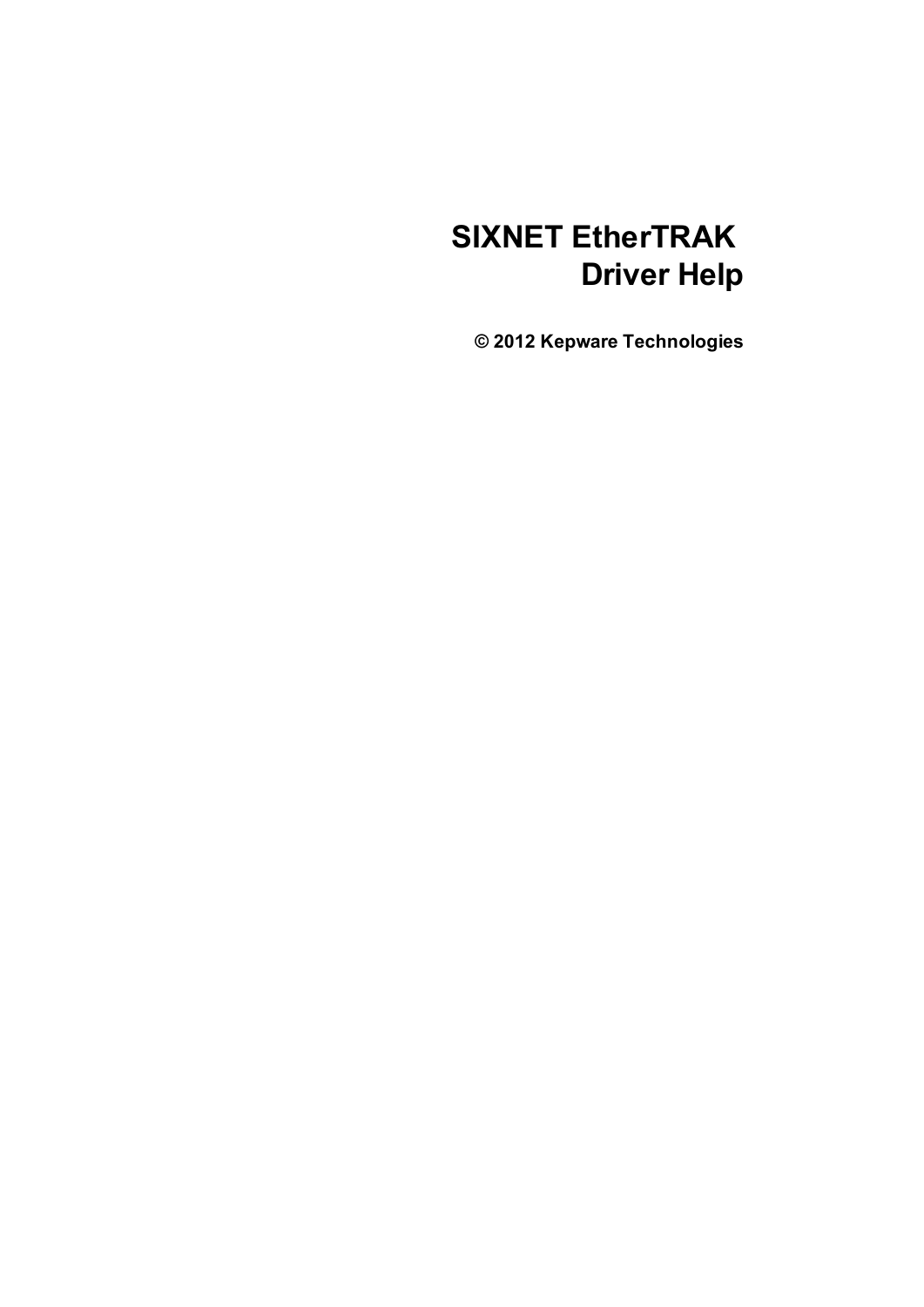# **SIXNET EtherTRAK Driver Help**

**© 2012 Kepware Technologies**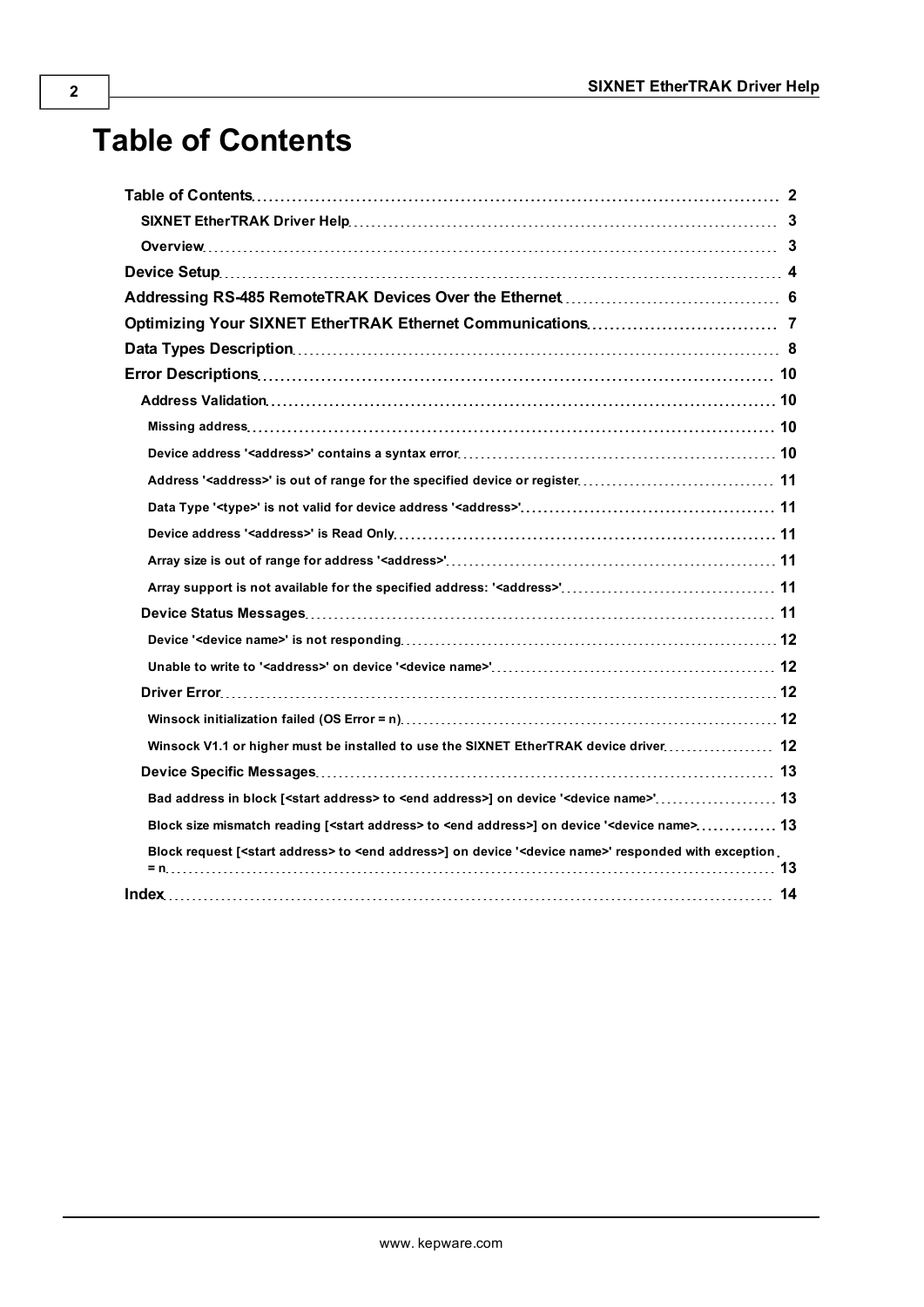# <span id="page-1-0"></span>**Table of Contents**

| Winsock V1.1 or higher must be installed to use the SIXNET EtherTRAK device driver 12                                                 |  |
|---------------------------------------------------------------------------------------------------------------------------------------|--|
|                                                                                                                                       |  |
| Bad address in block [ <start address=""> to <end address="">] on device '<device name="">' 13</device></end></start>                 |  |
| Block size mismatch reading [ <start address=""> to <end address="">] on device '<device name=""> 13</device></end></start>           |  |
| Block request [ <start address=""> to <end address="">] on device '<device name="">' responded with exception.</device></end></start> |  |
|                                                                                                                                       |  |
|                                                                                                                                       |  |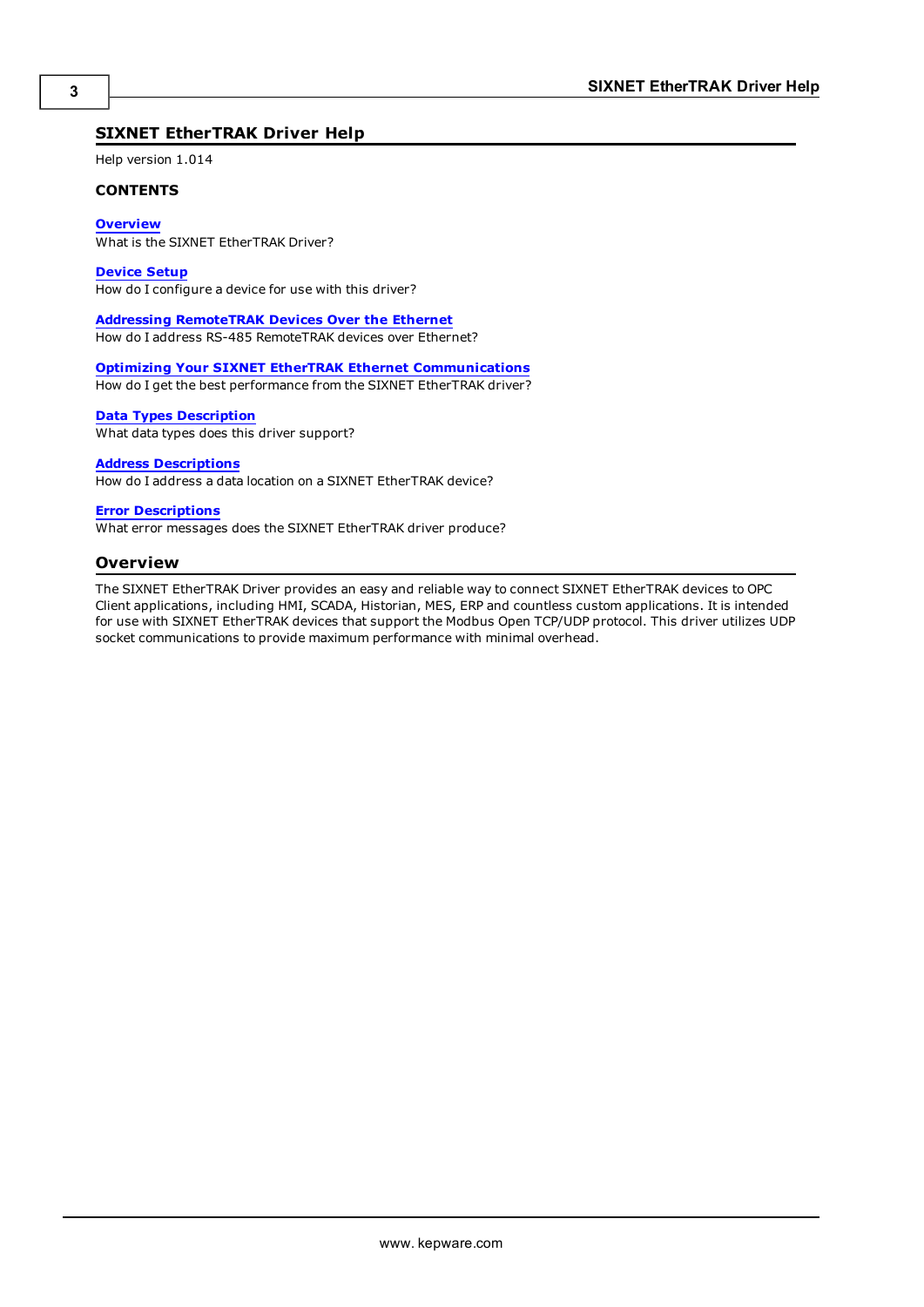#### <span id="page-2-0"></span>**SIXNET EtherTRAK Driver Help**

Help version 1.014

#### **CONTENTS**

**[Overview](#page-2-1)**

What is the SIXNET EtherTRAK Driver?

**[Device](#page-3-0) [Setup](#page-3-0)**

How do I configure a device for use with this driver?

**[Addressing](#page-5-0) [RemoteTRAK](#page-5-0) [Devices](#page-5-0) [Over](#page-5-0) [the](#page-5-0) [Ethernet](#page-5-0)** How do I address RS-485 RemoteTRAK devices over Ethernet?

**[Optimizing](#page-6-0) [Your](#page-6-0) [SIXNET](#page-6-0) [EtherTRAK](#page-6-0) [Ethernet](#page-6-0) [Communications](#page-6-0)** How do I get the best performance from the SIXNET EtherTRAK driver?

**[Data](#page-7-0) [Types](#page-7-0) [Description](#page-7-0)**

What data types does this driver support?

#### **[Address](#page-7-1) [Descriptions](#page-7-1)**

How do I address a data location on a SIXNET EtherTRAK device?

#### **[Error](#page-9-0) [Descriptions](#page-9-0)**

<span id="page-2-1"></span>What error messages does the SIXNET EtherTRAK driver produce?

#### **Overview**

The SIXNET EtherTRAK Driver provides an easy and reliable way to connect SIXNET EtherTRAK devices to OPC Client applications, including HMI, SCADA, Historian, MES, ERP and countless custom applications. It is intended for use with SIXNET EtherTRAK devices that support the Modbus Open TCP/UDP protocol. This driver utilizes UDP socket communications to provide maximum performance with minimal overhead.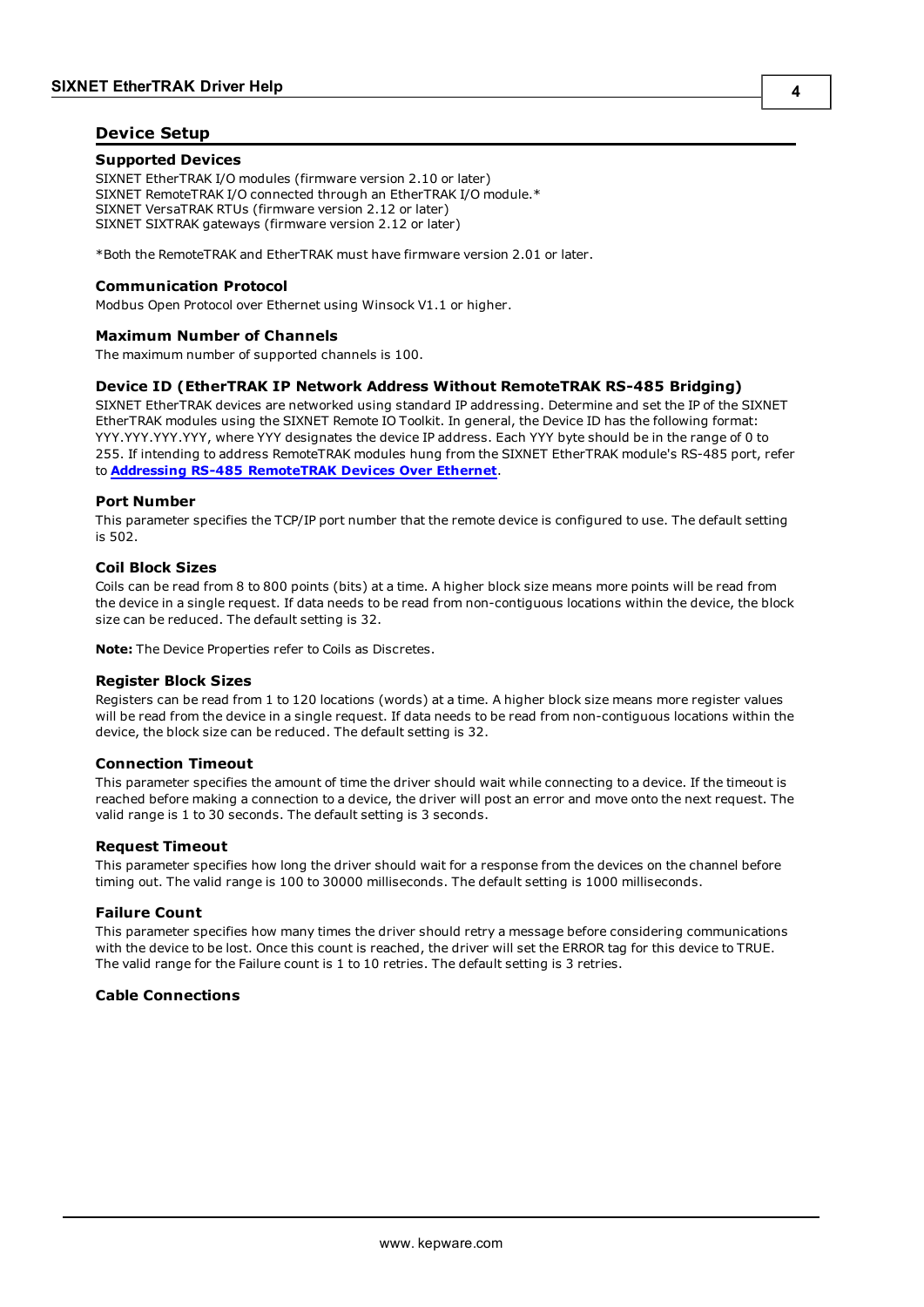#### <span id="page-3-0"></span>**Device Setup**

#### **Supported Devices**

SIXNET EtherTRAK I/O modules (firmware version 2.10 or later) SIXNET RemoteTRAK I/O connected through an EtherTRAK I/O module.\* SIXNET VersaTRAK RTUs (firmware version 2.12 or later) SIXNET SIXTRAK gateways (firmware version 2.12 or later)

\*Both the RemoteTRAK and EtherTRAK must have firmware version 2.01 or later.

#### **Communication Protocol**

Modbus Open Protocol over Ethernet using Winsock V1.1 or higher.

#### **Maximum Number of Channels**

<span id="page-3-2"></span>The maximum number of supported channels is 100.

#### **Device ID (EtherTRAK IP Network Address Without RemoteTRAK RS-485 Bridging)**

SIXNET EtherTRAK devices are networked using standard IP addressing. Determine and set the IP of the SIXNET EtherTRAK modules using the SIXNET Remote IO Toolkit. In general, the Device ID has the following format: YYY.YYY.YYY.YYY, where YYY designates the device IP address. Each YYY byte should be in the range of 0 to 255. If intending to address RemoteTRAK modules hung from the SIXNET EtherTRAK module's RS-485 port, refer to **[Addressing](#page-5-0) [RS-485](#page-5-0) [RemoteTRAK](#page-5-0) [Devices](#page-5-0) [Over](#page-5-0) [Ethernet](#page-5-0)**.

#### **Port Number**

This parameter specifies the TCP/IP port number that the remote device is configured to use. The default setting is 502.

#### <span id="page-3-1"></span>**Coil Block Sizes**

Coils can be read from 8 to 800 points (bits) at a time. A higher block size means more points will be read from the device in a single request. If data needs to be read from non-contiguous locations within the device, the block size can be reduced. The default setting is 32.

**Note:** The Device Properties refer to Coils as Discretes.

#### **Register Block Sizes**

Registers can be read from 1 to 120 locations (words) at a time. A higher block size means more register values will be read from the device in a single request. If data needs to be read from non-contiguous locations within the device, the block size can be reduced. The default setting is 32.

#### **Connection Timeout**

This parameter specifies the amount of time the driver should wait while connecting to a device. If the timeout is reached before making a connection to a device, the driver will post an error and move onto the next request. The valid range is 1 to 30 seconds. The default setting is 3 seconds.

#### **Request Timeout**

This parameter specifies how long the driver should wait for a response from the devices on the channel before timing out. The valid range is 100 to 30000 milliseconds. The default setting is 1000 milliseconds.

#### **Failure Count**

This parameter specifies how many times the driver should retry a message before considering communications with the device to be lost. Once this count is reached, the driver will set the ERROR tag for this device to TRUE. The valid range for the Failure count is 1 to 10 retries. The default setting is 3 retries.

#### **Cable Connections**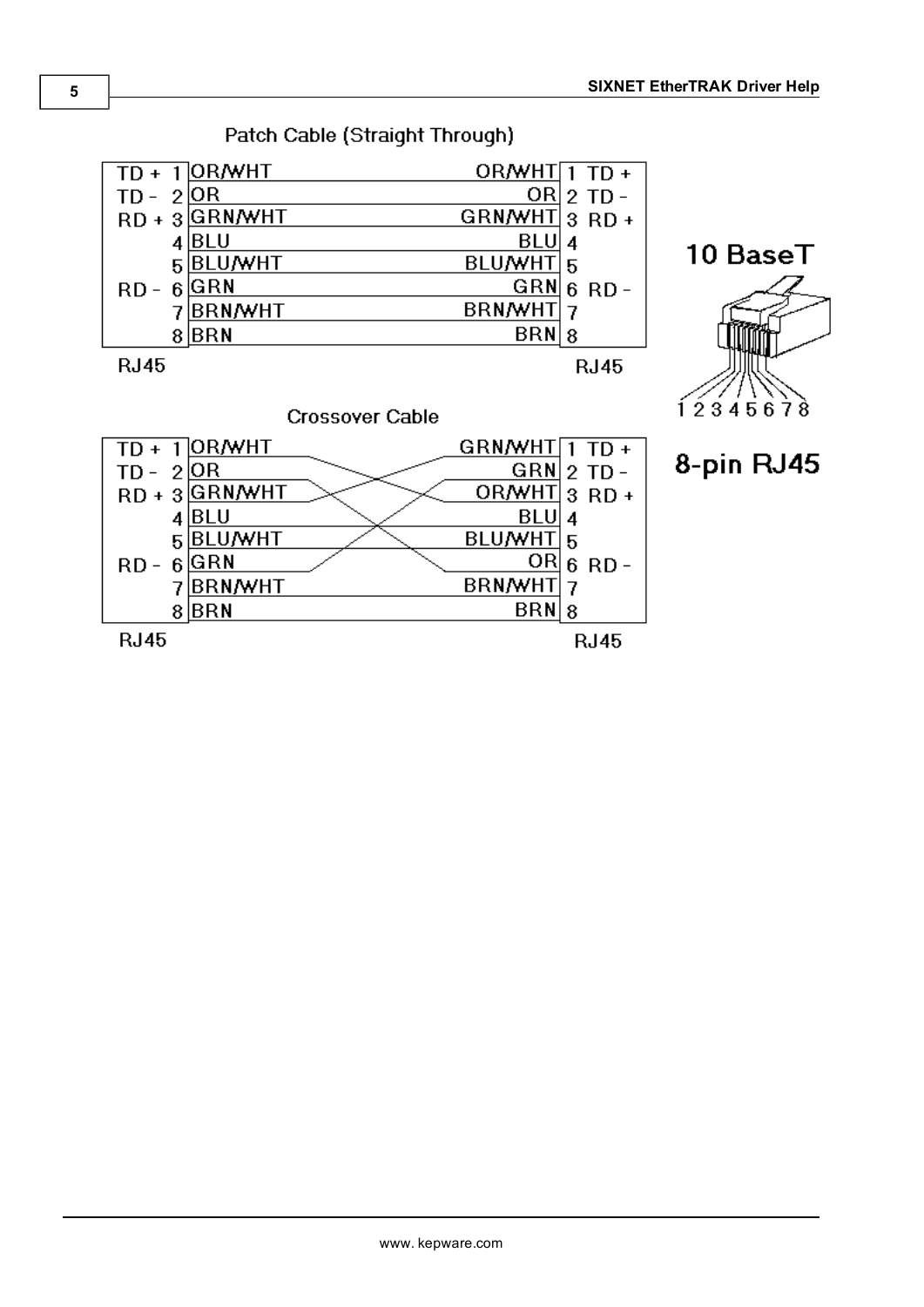

BRN/WHT 7

 $BRN|8$ 

**RJ45** 

Patch Cable (Straight Through)

7BRN/WHT

 $8$  $BRN$ 

**RJ45**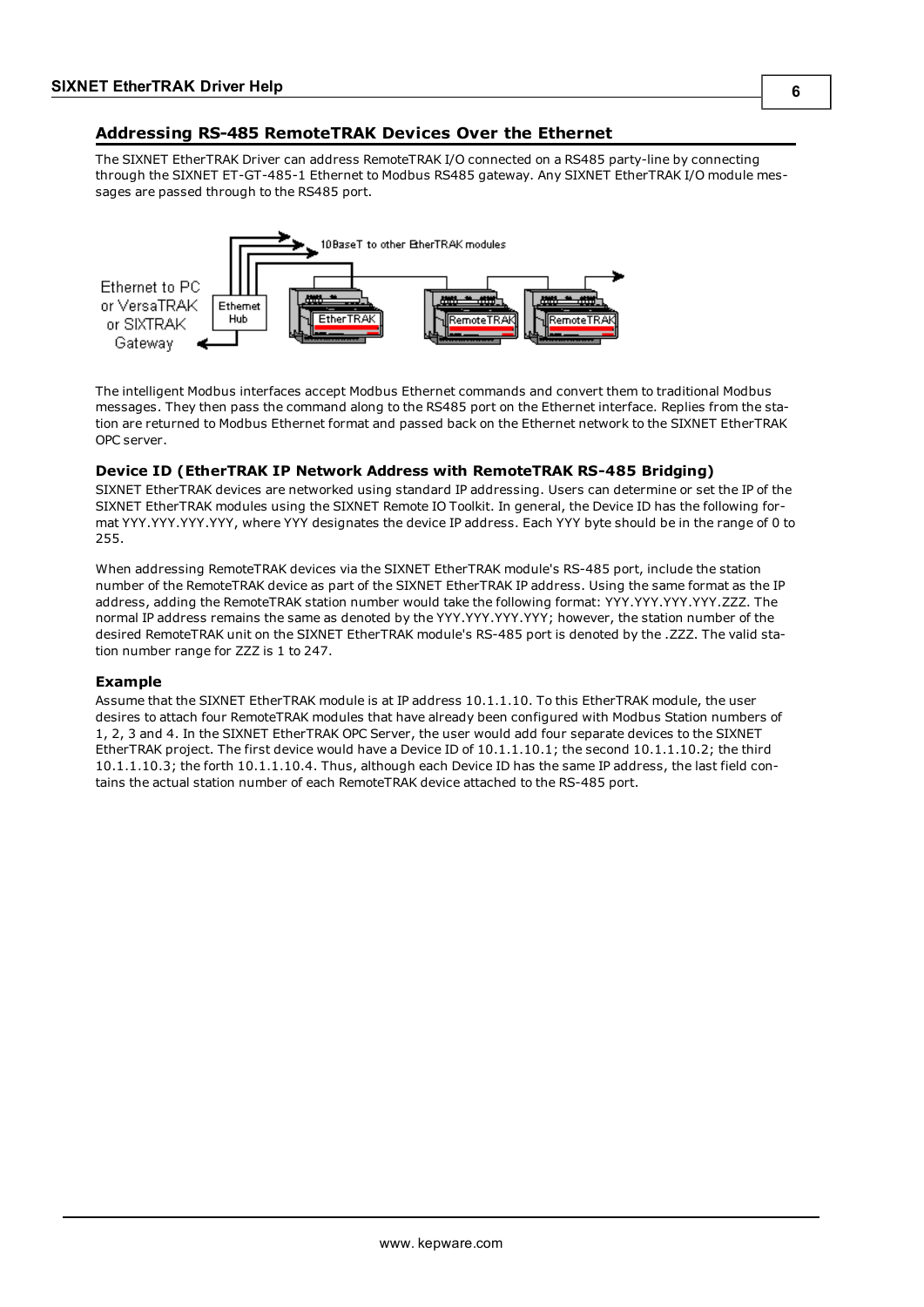### <span id="page-5-0"></span>**Addressing RS-485 RemoteTRAK Devices Over the Ethernet**

The SIXNET EtherTRAK Driver can address RemoteTRAK I/O connected on a RS485 party-line by connecting through the SIXNET ET-GT-485-1 Ethernet to Modbus RS485 gateway. Any SIXNET EtherTRAK I/O module messages are passed through to the RS485 port.



The intelligent Modbus interfaces accept Modbus Ethernet commands and convert them to traditional Modbus messages. They then pass the command along to the RS485 port on the Ethernet interface. Replies from the station are returned to Modbus Ethernet format and passed back on the Ethernet network to the SIXNET EtherTRAK OPC server.

#### **Device ID (EtherTRAK IP Network Address with RemoteTRAK RS-485 Bridging)**

SIXNET EtherTRAK devices are networked using standard IP addressing. Users can determine or set the IP of the SIXNET EtherTRAK modules using the SIXNET Remote IO Toolkit. In general, the Device ID has the following format YYY.YYY.YYY.YYY, where YYY designates the device IP address. Each YYY byte should be in the range of 0 to 255.

When addressing RemoteTRAK devices via the SIXNET EtherTRAK module's RS-485 port, include the station number of the RemoteTRAK device as part of the SIXNET EtherTRAK IP address. Using the same format as the IP address, adding the RemoteTRAK station number would take the following format: YYY.YYY.YYY.YYY.ZZZ. The normal IP address remains the same as denoted by the YYY.YYY.YYY.YYY; however, the station number of the desired RemoteTRAK unit on the SIXNET EtherTRAK module's RS-485 port is denoted by the .ZZZ. The valid station number range for ZZZ is 1 to 247.

#### **Example**

Assume that the SIXNET EtherTRAK module is at IP address 10.1.1.10. To this EtherTRAK module, the user desires to attach four RemoteTRAK modules that have already been configured with Modbus Station numbers of 1, 2, 3 and 4. In the SIXNET EtherTRAK OPC Server, the user would add four separate devices to the SIXNET EtherTRAK project. The first device would have a Device ID of 10.1.1.10.1; the second 10.1.1.10.2; the third 10.1.1.10.3; the forth 10.1.1.10.4. Thus, although each Device ID has the same IP address, the last field contains the actual station number of each RemoteTRAK device attached to the RS-485 port.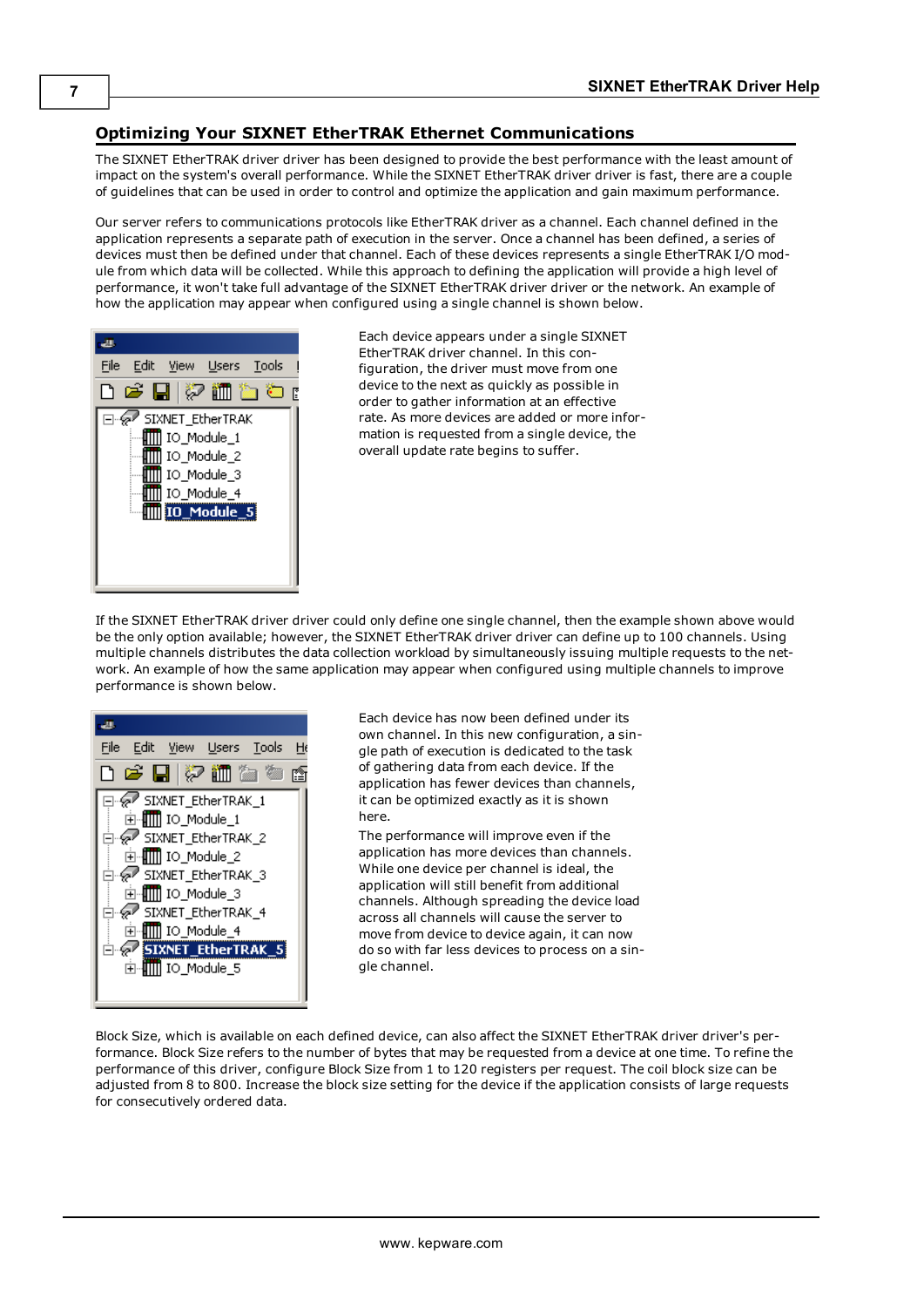#### <span id="page-6-0"></span>**Optimizing Your SIXNET EtherTRAK Ethernet Communications**

The SIXNET EtherTRAK driver driver has been designed to provide the best performance with the least amount of impact on the system's overall performance. While the SIXNET EtherTRAK driver driver is fast, there are a couple of guidelines that can be used in order to control and optimize the application and gain maximum performance.

Our server refers to communications protocols like EtherTRAK driver as a channel. Each channel defined in the application represents a separate path of execution in the server. Once a channel has been defined, a series of devices must then be defined under that channel. Each of these devices represents a single EtherTRAK I/O module from which data will be collected. While this approach to defining the application will provide a high level of performance, it won't take full advantage of the SIXNET EtherTRAK driver driver or the network. An example of how the application may appear when configured using a single channel is shown below.



Each device appears under a single SIXNET EtherTRAK driver channel. In this configuration, the driver must move from one device to the next as quickly as possible in order to gather information at an effective rate. As more devices are added or more information is requested from a single device, the overall update rate begins to suffer.

If the SIXNET EtherTRAK driver driver could only define one single channel, then the example shown above would be the only option available; however, the SIXNET EtherTRAK driver driver can define up to 100 channels. Using multiple channels distributes the data collection workload by simultaneously issuing multiple requests to the network. An example of how the same application may appear when configured using multiple channels to improve performance is shown below.



Each device has now been defined under its own channel. In this new configuration, a single path of execution is dedicated to the task of gathering data from each device. If the application has fewer devices than channels, it can be optimized exactly as it is shown here.

The performance will improve even if the application has more devices than channels. While one device per channel is ideal, the application will still benefit from additional channels. Although spreading the device load across all channels will cause the server to move from device to device again, it can now do so with far less devices to process on a single channel.

Block Size, which is available on each defined device, can also affect the SIXNET EtherTRAK driver driver's performance. Block Size refers to the number of bytes that may be requested from a device at one time. To refine the performance of this driver, configure Block Size from 1 to 120 registers per request. The coil block size can be adjusted from 8 to 800. Increase the block size setting for the device if the application consists of large requests for consecutively ordered data.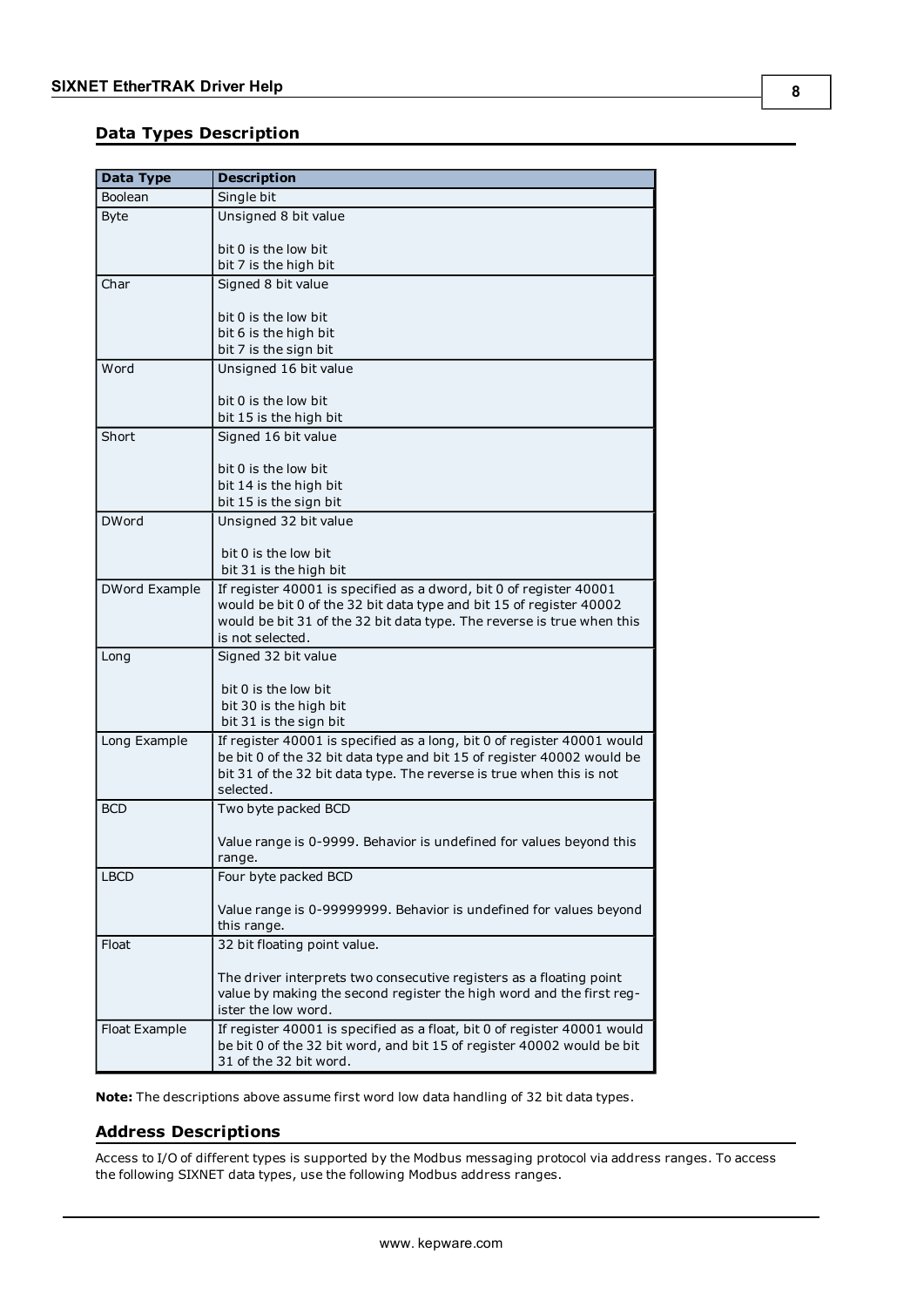#### <span id="page-7-0"></span>**Data Types Description**

<span id="page-7-9"></span><span id="page-7-8"></span><span id="page-7-4"></span><span id="page-7-3"></span>

| <b>Data Type</b> | <b>Description</b>                                                                               |
|------------------|--------------------------------------------------------------------------------------------------|
| Boolean          | Single bit                                                                                       |
| <b>Byte</b>      | Unsigned 8 bit value                                                                             |
|                  |                                                                                                  |
|                  | bit 0 is the low bit                                                                             |
|                  | bit 7 is the high bit                                                                            |
| Char             | Signed 8 bit value                                                                               |
|                  |                                                                                                  |
|                  | bit 0 is the low bit<br>bit 6 is the high bit                                                    |
|                  | bit 7 is the sign bit                                                                            |
| Word             | Unsigned 16 bit value                                                                            |
|                  |                                                                                                  |
|                  | bit 0 is the low bit                                                                             |
|                  | bit 15 is the high bit                                                                           |
| Short            | Signed 16 bit value                                                                              |
|                  |                                                                                                  |
|                  | bit 0 is the low bit                                                                             |
|                  | bit 14 is the high bit                                                                           |
|                  | bit 15 is the sign bit                                                                           |
| <b>DWord</b>     | Unsigned 32 bit value                                                                            |
|                  | bit 0 is the low bit                                                                             |
|                  | bit 31 is the high bit                                                                           |
| DWord Example    | If register 40001 is specified as a dword, bit 0 of register 40001                               |
|                  | would be bit 0 of the 32 bit data type and bit 15 of register 40002                              |
|                  | would be bit 31 of the 32 bit data type. The reverse is true when this                           |
|                  | is not selected.                                                                                 |
| Long             | Signed 32 bit value                                                                              |
|                  |                                                                                                  |
|                  | bit 0 is the low bit<br>bit 30 is the high bit                                                   |
|                  | bit 31 is the sign bit                                                                           |
| Long Example     | If register 40001 is specified as a long, bit 0 of register 40001 would                          |
|                  | be bit 0 of the 32 bit data type and bit 15 of register 40002 would be                           |
|                  | bit 31 of the 32 bit data type. The reverse is true when this is not                             |
|                  | selected.                                                                                        |
| <b>BCD</b>       | Two byte packed BCD                                                                              |
|                  |                                                                                                  |
|                  | Value range is 0-9999. Behavior is undefined for values beyond this                              |
|                  | range.                                                                                           |
| <b>LBCD</b>      | Four byte packed BCD                                                                             |
|                  | Value range is 0-99999999. Behavior is undefined for values beyond                               |
|                  | this range.                                                                                      |
| Float            | 32 bit floating point value.                                                                     |
|                  |                                                                                                  |
|                  | The driver interprets two consecutive registers as a floating point                              |
|                  | value by making the second register the high word and the first reg-                             |
|                  | ister the low word.                                                                              |
| Float Example    | If register 40001 is specified as a float, bit 0 of register 40001 would                         |
|                  | be bit 0 of the 32 bit word, and bit 15 of register 40002 would be bit<br>31 of the 32 bit word. |
|                  |                                                                                                  |

<span id="page-7-7"></span><span id="page-7-6"></span><span id="page-7-5"></span><span id="page-7-2"></span><span id="page-7-1"></span>**Note:** The descriptions above assume first word low data handling of 32 bit data types.

#### **Address Descriptions**

Access to I/O of different types is supported by the Modbus messaging protocol via address ranges. To access the following SIXNET data types, use the following Modbus address ranges.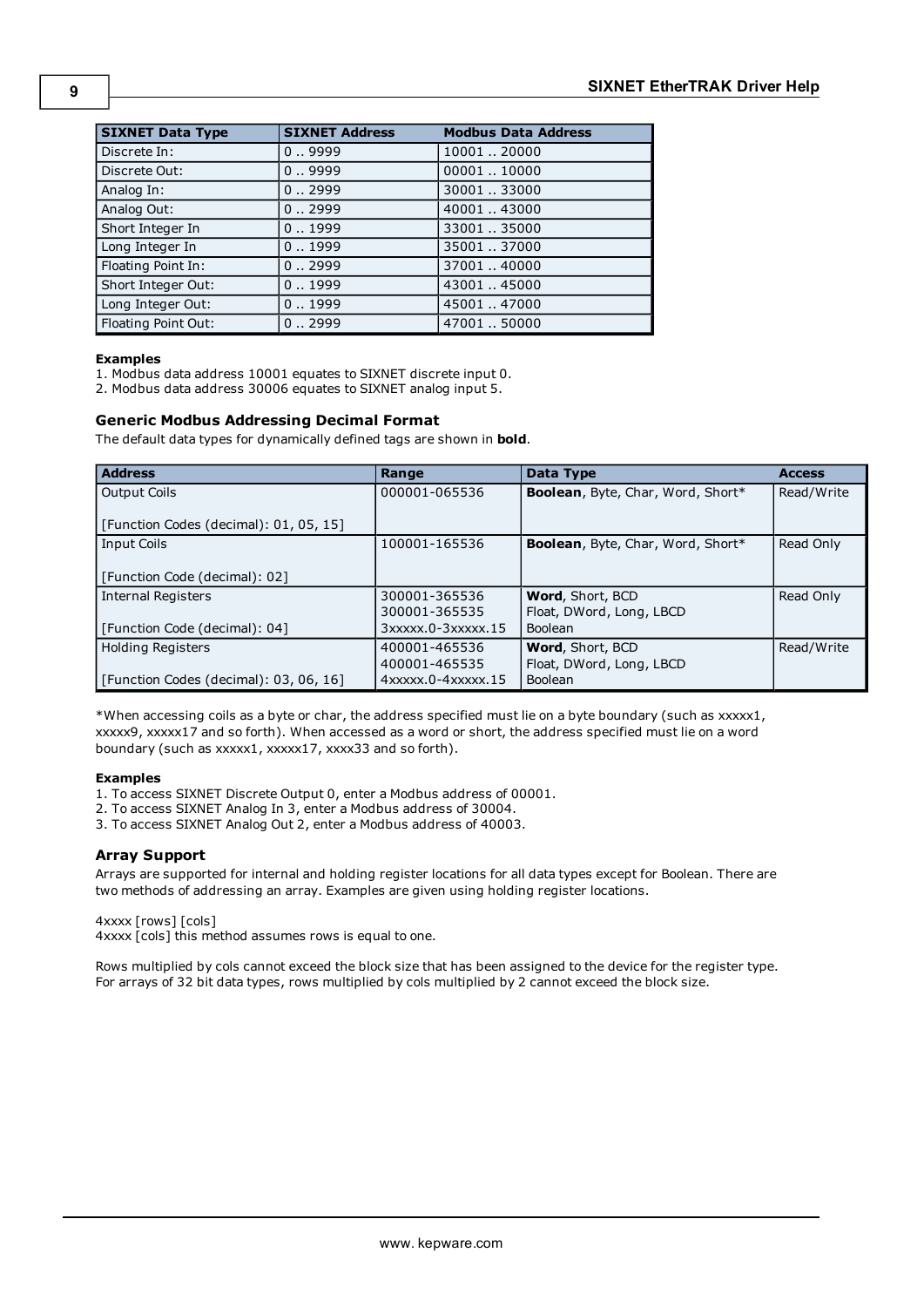| <b>SIXNET Data Type</b> | <b>SIXNET Address</b> | <b>Modbus Data Address</b> |
|-------------------------|-----------------------|----------------------------|
| Discrete In:            | 0.9999                | 10001.20000                |
| Discrete Out:           | 0.9999                | 00001.10000                |
| Analog In:              | 0.0.2999              | 30001.33000                |
| Analog Out:             | 0.0.2999              | 40001.43000                |
| Short Integer In        | 0.1999                | 33001.35000                |
| Long Integer In         | 0.1999                | 35001.37000                |
| Floating Point In:      | 0.0.2999              | 37001.40000                |
| Short Integer Out:      | 0.1999                | 43001.45000                |
| Long Integer Out:       | 0.1999                | 45001.47000                |
| Floating Point Out:     | 0.0.2999              | 4700150000                 |

#### **Examples**

1. Modbus data address 10001 equates to SIXNET discrete input 0.

2. Modbus data address 30006 equates to SIXNET analog input 5.

#### **Generic Modbus Addressing Decimal Format**

The default data types for dynamically defined tags are shown in **bold**.

<span id="page-8-1"></span><span id="page-8-0"></span>

| <b>Address</b>                         | Range                          | Data Type                         | <b>Access</b> |
|----------------------------------------|--------------------------------|-----------------------------------|---------------|
| <b>Output Coils</b>                    | 000001-065536                  | Boolean, Byte, Char, Word, Short* | Read/Write    |
| [Function Codes (decimal): 01, 05, 15] |                                |                                   |               |
| <b>Input Coils</b>                     | 100001-165536                  | Boolean, Byte, Char, Word, Short* | Read Only     |
| [Function Code (decimal): 02]          |                                |                                   |               |
| Internal Registers                     | 300001-365536                  | Word, Short, BCD                  | Read Only     |
|                                        | 300001-365535                  | Float, DWord, Long, LBCD          |               |
| [Function Code (decimal): 04]          | $3xxxx.0-3xxxx.15$             | Boolean                           |               |
| <b>Holding Registers</b>               | 400001-465536                  | Word, Short, BCD                  | Read/Write    |
|                                        | 400001-465535                  | Float, DWord, Long, LBCD          |               |
| [Function Codes (decimal): 03, 06, 16] | $4x$ xxxx $.0 - 4x$ xxxx $.15$ | Boolean                           |               |

\*When accessing coils as a byte or char, the address specified must lie on a byte boundary (such as xxxxx1, xxxxx9, xxxxx17 and so forth). When accessed as a word or short, the address specified must lie on a word boundary (such as xxxxx1, xxxxx17, xxxx33 and so forth).

#### **Examples**

1. To access SIXNET Discrete Output 0, enter a Modbus address of 00001.

2. To access SIXNET Analog In 3, enter a Modbus address of 30004.

3. To access SIXNET Analog Out 2, enter a Modbus address of 40003.

#### **Array Support**

Arrays are supported for internal and holding register locations for all data types except for Boolean. There are two methods of addressing an array. Examples are given using holding register locations.

4xxxx [rows] [cols]

4xxxx [cols] this method assumes rows is equal to one.

Rows multiplied by cols cannot exceed the block size that has been assigned to the device for the register type. For arrays of 32 bit data types, rows multiplied by cols multiplied by 2 cannot exceed the block size.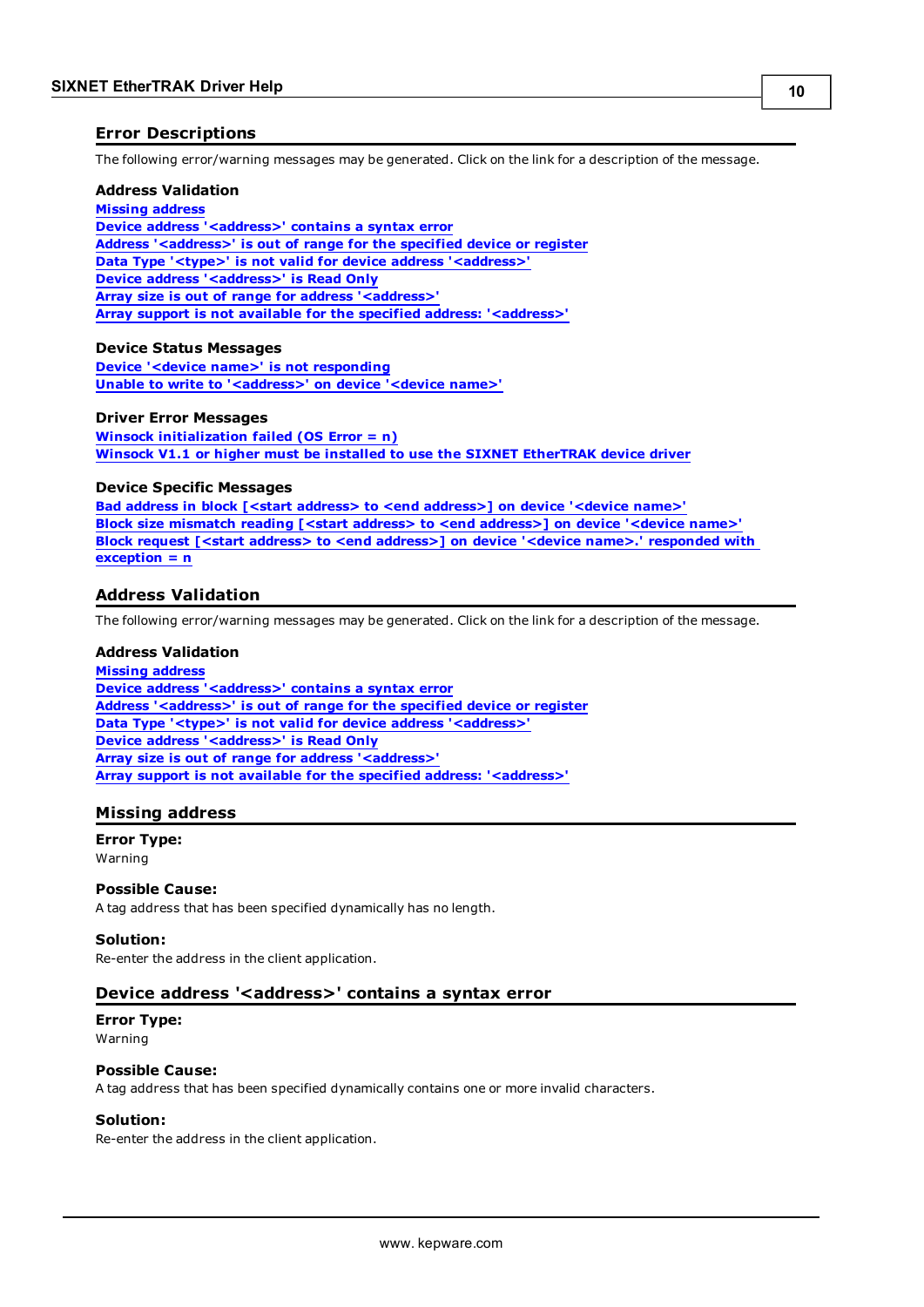#### <span id="page-9-0"></span>**Error Descriptions**

The following error/warning messages may be generated. Click on the link for a description of the message.

#### **Address Validation**

#### **[Missing](#page-9-2) [address](#page-9-2)**

**[Device](#page-9-3) [address](#page-9-3) ['<address>'](#page-9-3) [contains](#page-9-3) [a](#page-9-3) [syntax](#page-9-3) [error](#page-9-3) [Address](#page-10-0) ['<address>'](#page-10-0) [is](#page-10-0) [out](#page-10-0) [of](#page-10-0) [range](#page-10-0) [for](#page-10-0) [the](#page-10-0) [specified](#page-10-0) [device](#page-10-0) [or](#page-10-0) [register](#page-10-0) [Data](#page-10-1) [Type](#page-10-1) ['<type>'](#page-10-1) [is](#page-10-1) [not](#page-10-1) [valid](#page-10-1) [for](#page-10-1) [device](#page-10-1) [address](#page-10-1) ['<address>'](#page-10-1) [Device](#page-10-2) [address](#page-10-2) ['<address>'](#page-10-2) [is](#page-10-2) [Read](#page-10-2) [Only](#page-10-2) [Array](#page-10-3) [size](#page-10-3) [is](#page-10-3) [out](#page-10-3) [of](#page-10-3) [range](#page-10-3) [for](#page-10-3) [address](#page-10-3) ['<address>'](#page-10-3) [Array](#page-10-4) [support](#page-10-4) [is](#page-10-4) [not](#page-10-4) [available](#page-10-4) [for](#page-10-4) [the](#page-10-4) [specified](#page-10-4) [address:](#page-10-4) ['<address>'](#page-10-4)**

#### **Device Status Messages**

**[Device](#page-11-0) ['<device](#page-11-0) [name>'](#page-11-0) [is](#page-11-0) [not](#page-11-0) [responding](#page-11-0) [Unable](#page-11-1) [to](#page-11-1) [write](#page-11-1) [to](#page-11-1) ['<address>'](#page-11-1) [on](#page-11-1) [device](#page-11-1) ['<device](#page-11-1) [name>'](#page-11-1)**

#### **Driver Error Messages**

**[Winsock](#page-11-3) [initialization](#page-11-3) [failed](#page-11-3) [\(OS](#page-11-3) [Error](#page-11-3) [=](#page-11-3) [n\)](#page-11-3) [Winsock](#page-11-4) [V1.1](#page-11-4) [or](#page-11-4) [higher](#page-11-4) [must](#page-11-4) [be](#page-11-4) [installed](#page-11-4) [to](#page-11-4) [use](#page-11-4) [the](#page-11-4) [SIXNET](#page-11-4) [EtherTRAK](#page-11-4) [device](#page-11-4) [driver](#page-11-4)**

#### **Device Specific Messages**

**[Bad](#page-12-1) [address](#page-12-1) [in](#page-12-1) [block](#page-12-1) [\[<start](#page-12-1) [address>](#page-12-1) [to](#page-12-1) [<end](#page-12-1) [address>\]](#page-12-1) [on](#page-12-1) [device](#page-12-1) ['<device](#page-12-1) [name>'](#page-12-1) [Block](#page-12-2) [size](#page-12-2) [mismatch](#page-12-2) [reading](#page-12-2) [\[<start](#page-12-2) [address>](#page-12-2) [to](#page-12-2) [<end](#page-12-2) [address>\]](#page-12-2) [on](#page-12-2) [device](#page-12-2) ['<device](#page-12-2) [name>'](#page-12-2) [Block](#page-12-3) [request](#page-12-3) [\[<start](#page-12-3) [address>](#page-12-3) [to](#page-12-3) [<end](#page-12-3) [address>\]](#page-12-3) [on](#page-12-3) [device](#page-12-3) ['<device](#page-12-3) [name>.'](#page-12-3) [responded](#page-12-3) [with](#page-12-3) [exception](#page-12-3) [=](#page-12-3) [n](#page-12-3)**

#### <span id="page-9-1"></span>**Address Validation**

The following error/warning messages may be generated. Click on the link for a description of the message.

#### **Address Validation**

**[Missing](#page-9-2) [address](#page-9-2) [Device](#page-9-3) [address](#page-9-3) ['<address>'](#page-9-3) [contains](#page-9-3) [a](#page-9-3) [syntax](#page-9-3) [error](#page-9-3) [Address](#page-10-0) ['<address>'](#page-10-0) [is](#page-10-0) [out](#page-10-0) [of](#page-10-0) [range](#page-10-0) [for](#page-10-0) [the](#page-10-0) [specified](#page-10-0) [device](#page-10-0) [or](#page-10-0) [register](#page-10-0) [Data](#page-10-1) [Type](#page-10-1) ['<type>'](#page-10-1) [is](#page-10-1) [not](#page-10-1) [valid](#page-10-1) [for](#page-10-1) [device](#page-10-1) [address](#page-10-1) ['<address>'](#page-10-1) [Device](#page-10-2) [address](#page-10-2) ['<address>'](#page-10-2) [is](#page-10-2) [Read](#page-10-2) [Only](#page-10-2) [Array](#page-10-3) [size](#page-10-3) [is](#page-10-3) [out](#page-10-3) [of](#page-10-3) [range](#page-10-3) [for](#page-10-3) [address](#page-10-3) ['<address>'](#page-10-3) [Array](#page-10-4) [support](#page-10-4) [is](#page-10-4) [not](#page-10-4) [available](#page-10-4) [for](#page-10-4) [the](#page-10-4) [specified](#page-10-4) [address:](#page-10-4) ['<address>'](#page-10-4)**

#### <span id="page-9-2"></span>**Missing address**

**Error Type:** Warning

#### **Possible Cause:**

A tag address that has been specified dynamically has no length.

#### **Solution:**

<span id="page-9-3"></span>Re-enter the address in the client application.

#### Device address '<address>' contains a syntax error

#### **Error Type:** Warning

#### **Possible Cause:**

A tag address that has been specified dynamically contains one or more invalid characters.

#### **Solution:**

Re-enter the address in the client application.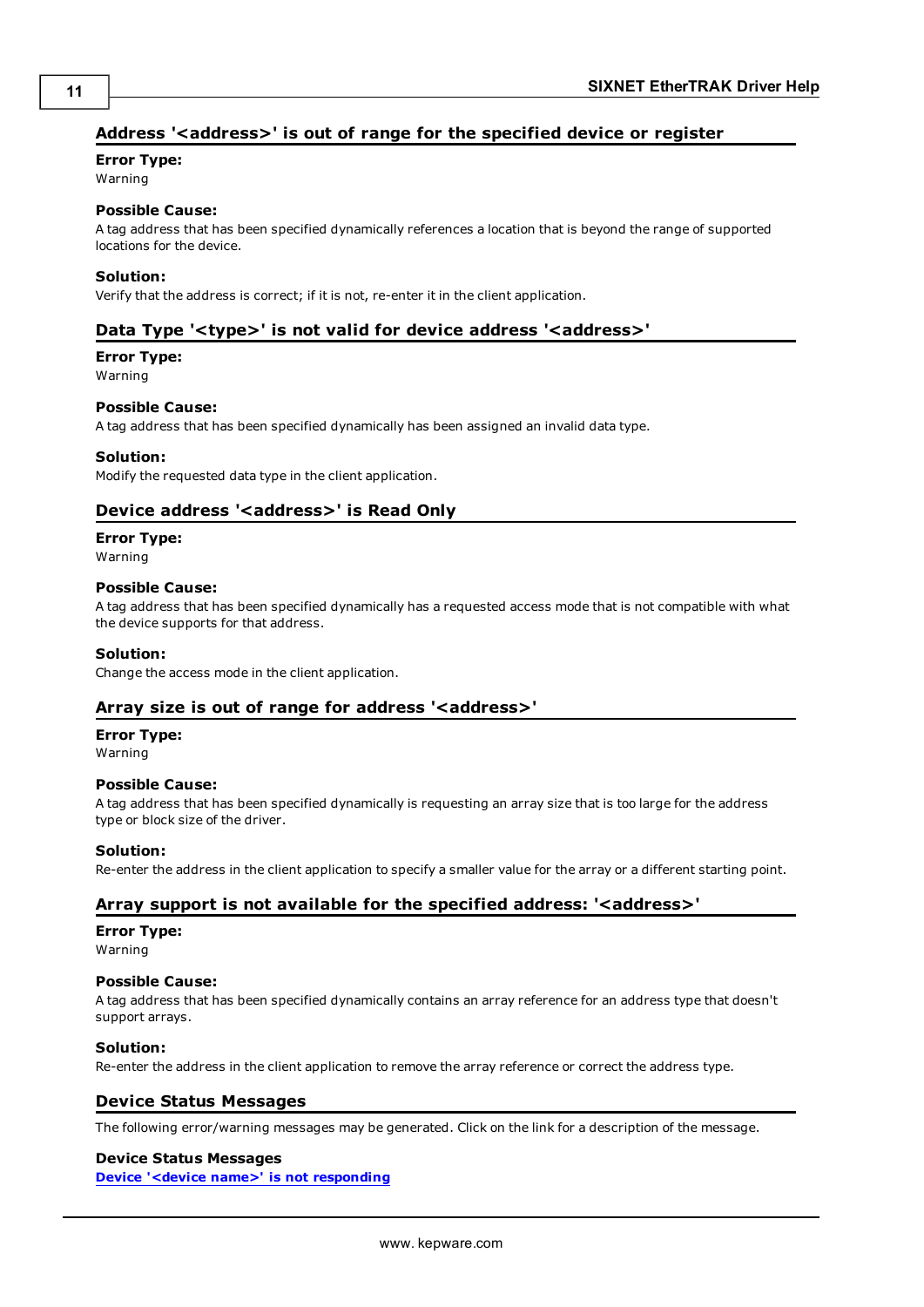## <span id="page-10-0"></span>Address '<address>' is out of range for the specified device or register

#### **Error Type:**

Warning

#### **Possible Cause:**

A tag address that has been specified dynamically references a location that is beyond the range of supported locations for the device.

#### **Solution:**

<span id="page-10-1"></span>Verify that the address is correct; if it is not, re-enter it in the client application.

#### Data Type '<type>' is not valid for device address '<address>'

## **Error Type:**

Warning

#### **Possible Cause:**

A tag address that has been specified dynamically has been assigned an invalid data type.

#### **Solution:**

<span id="page-10-2"></span>Modify the requested data type in the client application.

### Device address '<address>' is Read Only

#### **Error Type:**

Warning

#### **Possible Cause:**

A tag address that has been specified dynamically has a requested access mode that is not compatible with what the device supports for that address.

#### **Solution:**

<span id="page-10-3"></span>Change the access mode in the client application.

#### **Array size is out of range for address '<address>'**

# **Error Type:**

Warning

#### **Possible Cause:**

A tag address that has been specified dynamically is requesting an array size that is too large for the address type or block size of the driver.

#### **Solution:**

<span id="page-10-4"></span>Re-enter the address in the client application to specify a smaller value for the array or a different starting point.

#### **Array support is not available for the specified address: '<address>'**

#### **Error Type:**

Warning

#### **Possible Cause:**

A tag address that has been specified dynamically contains an array reference for an address type that doesn't support arrays.

#### **Solution:**

<span id="page-10-5"></span>Re-enter the address in the client application to remove the array reference or correct the address type.

#### **Device Status Messages**

The following error/warning messages may be generated. Click on the link for a description of the message.

#### **Device Status Messages**

**[Device](#page-11-0) ['<device](#page-11-0) [name>'](#page-11-0) [is](#page-11-0) [not](#page-11-0) [responding](#page-11-0)**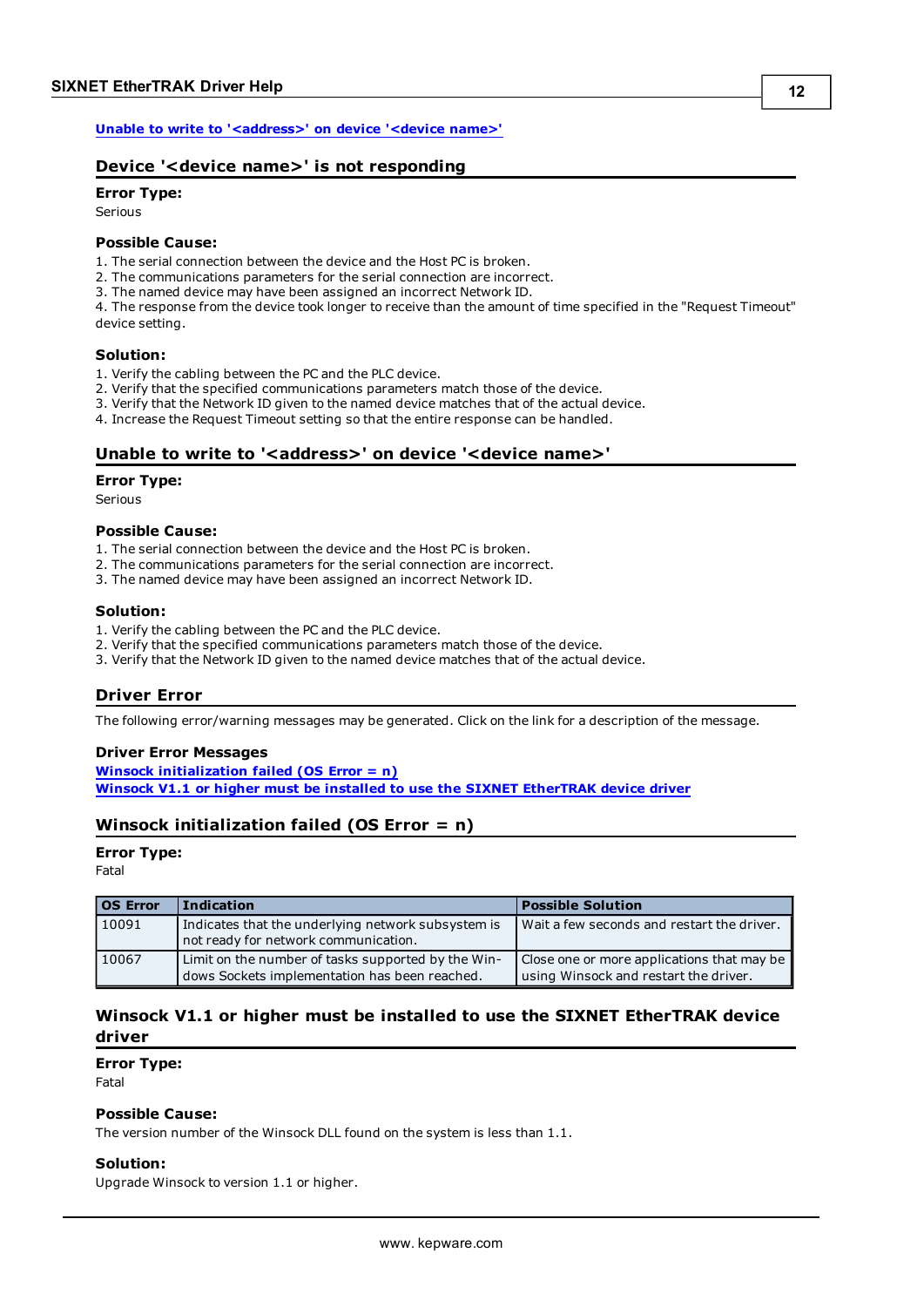<span id="page-11-0"></span>**[Unable](#page-11-1) [to](#page-11-1) [write](#page-11-1) [to](#page-11-1) ['<address>'](#page-11-1) [on](#page-11-1) [device](#page-11-1) ['<device](#page-11-1) [name>'](#page-11-1)**

### **Device '<device name>' is not responding**

## **Error Type:**

Serious

#### **Possible Cause:**

1. The serial connection between the device and the Host PC is broken.

2. The communications parameters for the serial connection are incorrect.

3. The named device may have been assigned an incorrect Network ID.

4. The response from the device took longer to receive than the amount of time specified in the "Request Timeout" device setting.

#### **Solution:**

1. Verify the cabling between the PC and the PLC device.

2. Verify that the specified communications parameters match those of the device.

3. Verify that the Network ID given to the named device matches that of the actual device.

<span id="page-11-1"></span>4. Increase the Request Timeout setting so that the entire response can be handled.

#### Unable to write to '<address>' on device '<device name>'

#### **Error Type:**

Serious

#### **Possible Cause:**

- 1. The serial connection between the device and the Host PC is broken.
- 2. The communications parameters for the serial connection are incorrect.
- 3. The named device may have been assigned an incorrect Network ID.

#### **Solution:**

- 1. Verify the cabling between the PC and the PLC device.
- 2. Verify that the specified communications parameters match those of the device.
- <span id="page-11-2"></span>3. Verify that the Network ID given to the named device matches that of the actual device.

#### **Driver Error**

The following error/warning messages may be generated. Click on the link for a description of the message.

#### **Driver Error Messages**

**[Winsock](#page-11-3) [initialization](#page-11-3) [failed](#page-11-3) [\(OS](#page-11-3) [Error](#page-11-3) [=](#page-11-3) [n\)](#page-11-3) [Winsock](#page-11-4) [V1.1](#page-11-4) [or](#page-11-4) [higher](#page-11-4) [must](#page-11-4) [be](#page-11-4) [installed](#page-11-4) [to](#page-11-4) [use](#page-11-4) [the](#page-11-4) [SIXNET](#page-11-4) [EtherTRAK](#page-11-4) [device](#page-11-4) [driver](#page-11-4)**

#### <span id="page-11-3"></span>**Winsock initialization failed (OS Error = n)**

#### **Error Type:**

Fatal

| <b>OS Error</b> | <b>Indication</b>                                                                                   | <b>Possible Solution</b>                                                            |
|-----------------|-----------------------------------------------------------------------------------------------------|-------------------------------------------------------------------------------------|
| 10091           | Indicates that the underlying network subsystem is<br>not ready for network communication.          | Wait a few seconds and restart the driver.                                          |
| 10067           | Limit on the number of tasks supported by the Win-<br>dows Sockets implementation has been reached. | Close one or more applications that may be<br>using Winsock and restart the driver. |

#### <span id="page-11-4"></span>**Winsock V1.1 or higher must be installed to use the SIXNET EtherTRAK device driver**

**Error Type:**

Fatal

#### **Possible Cause:**

The version number of the Winsock DLL found on the system is less than 1.1.

#### **Solution:**

Upgrade Winsock to version 1.1 or higher.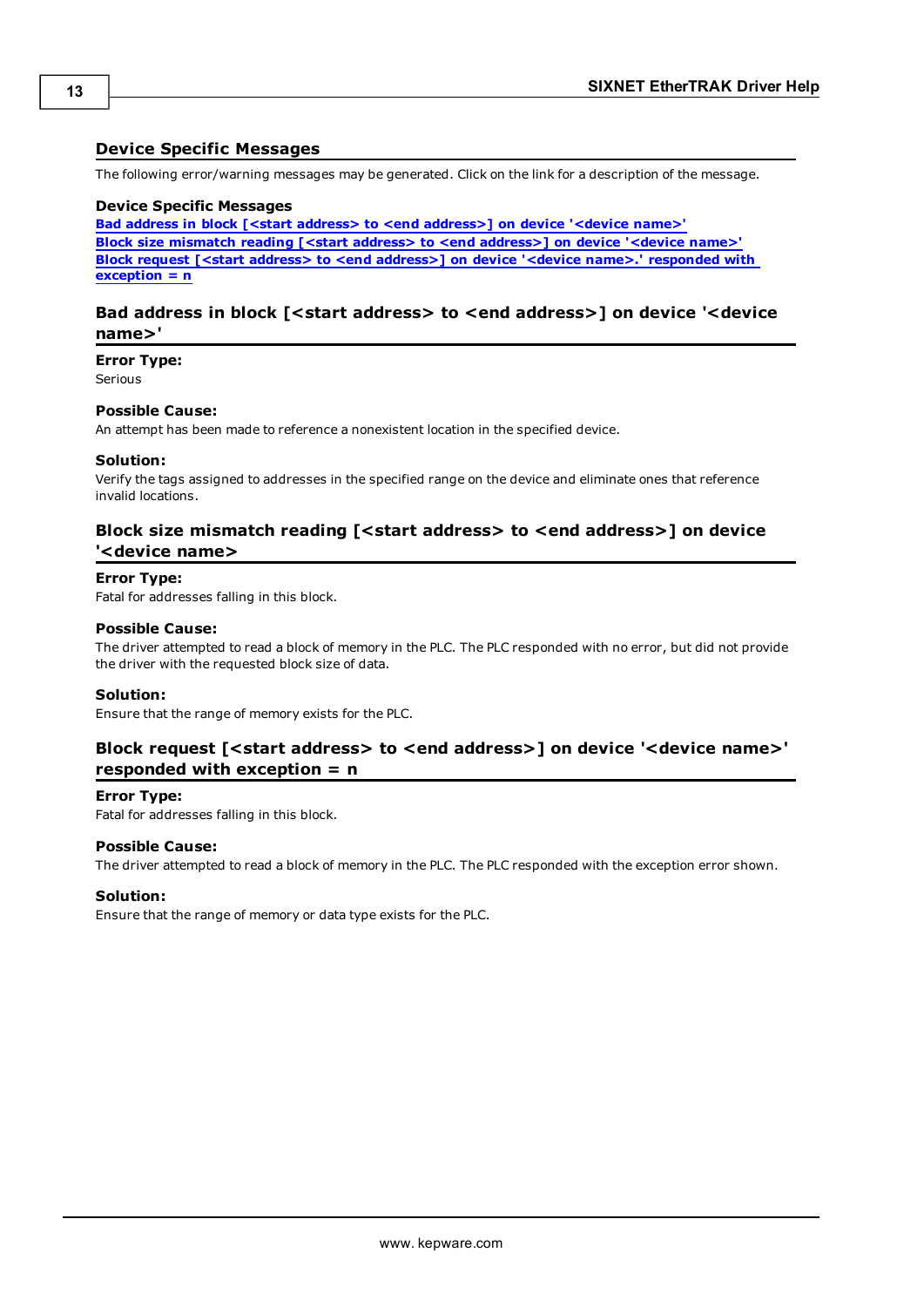#### <span id="page-12-0"></span>**Device Specific Messages**

The following error/warning messages may be generated. Click on the link for a description of the message.

#### **Device Specific Messages**

**[Bad](#page-12-1) [address](#page-12-1) [in](#page-12-1) [block](#page-12-1) [\[<start](#page-12-1) [address>](#page-12-1) [to](#page-12-1) [<end](#page-12-1) [address>\]](#page-12-1) [on](#page-12-1) [device](#page-12-1) ['<device](#page-12-1) [name>'](#page-12-1) [Block](#page-12-2) [size](#page-12-2) [mismatch](#page-12-2) [reading](#page-12-2) [\[<start](#page-12-2) [address>](#page-12-2) [to](#page-12-2) [<end](#page-12-2) [address>\]](#page-12-2) [on](#page-12-2) [device](#page-12-2) ['<device](#page-12-2) [name>'](#page-12-2) [Block](#page-12-3) [request](#page-12-3) [\[<start](#page-12-3) [address>](#page-12-3) [to](#page-12-3) [<end](#page-12-3) [address>\]](#page-12-3) [on](#page-12-3) [device](#page-12-3) ['<device](#page-12-3) [name>.'](#page-12-3) [responded](#page-12-3) [with](#page-12-3) [exception](#page-12-3) [=](#page-12-3) [n](#page-12-3)**

#### <span id="page-12-1"></span>**Bad address in block [<start address> to <end address>] on device '<device name>'**

**Error Type:**

Serious

#### **Possible Cause:**

An attempt has been made to reference a nonexistent location in the specified device.

#### **Solution:**

Verify the tags assigned to addresses in the specified range on the device and eliminate ones that reference invalid locations.

#### <span id="page-12-2"></span>**Block size mismatch reading [<start address> to <end address>] on device '<device name>**

#### **Error Type:**

Fatal for addresses falling in this block.

#### **Possible Cause:**

The driver attempted to read a block of memory in the PLC. The PLC responded with no error, but did not provide the driver with the requested block size of data.

#### **Solution:**

<span id="page-12-3"></span>Ensure that the range of memory exists for the PLC.

#### **Block request [<start address> to <end address>] on device '<device name>' responded with exception = n**

#### **Error Type:**

Fatal for addresses falling in this block.

#### **Possible Cause:**

The driver attempted to read a block of memory in the PLC. The PLC responded with the exception error shown.

#### **Solution:**

Ensure that the range of memory or data type exists for the PLC.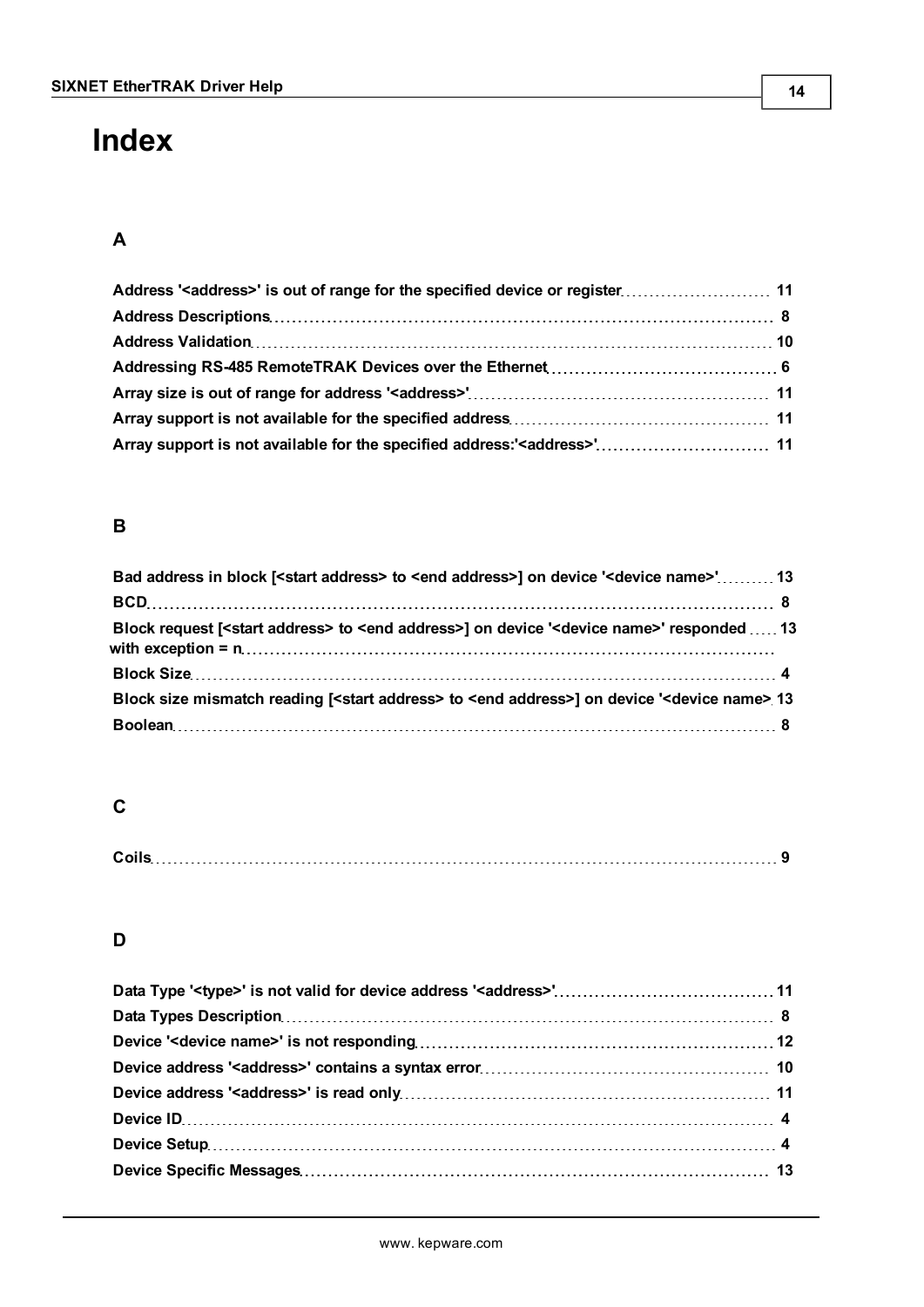# <span id="page-13-0"></span>**Index**

## **A**

## **B**

| Bad address in block [ <start address=""> to <end address="">] on device '<device name="">' 13</device></end></start>       |  |
|-----------------------------------------------------------------------------------------------------------------------------|--|
|                                                                                                                             |  |
| Block request [ <start address=""> to <end address="">] on device '<device name="">' responded  13</device></end></start>   |  |
|                                                                                                                             |  |
| Block size mismatch reading [ <start address=""> to <end address="">] on device '<device name=""> 13</device></end></start> |  |
|                                                                                                                             |  |

## **C**

| Coile |  |
|-------|--|
|-------|--|

## **D**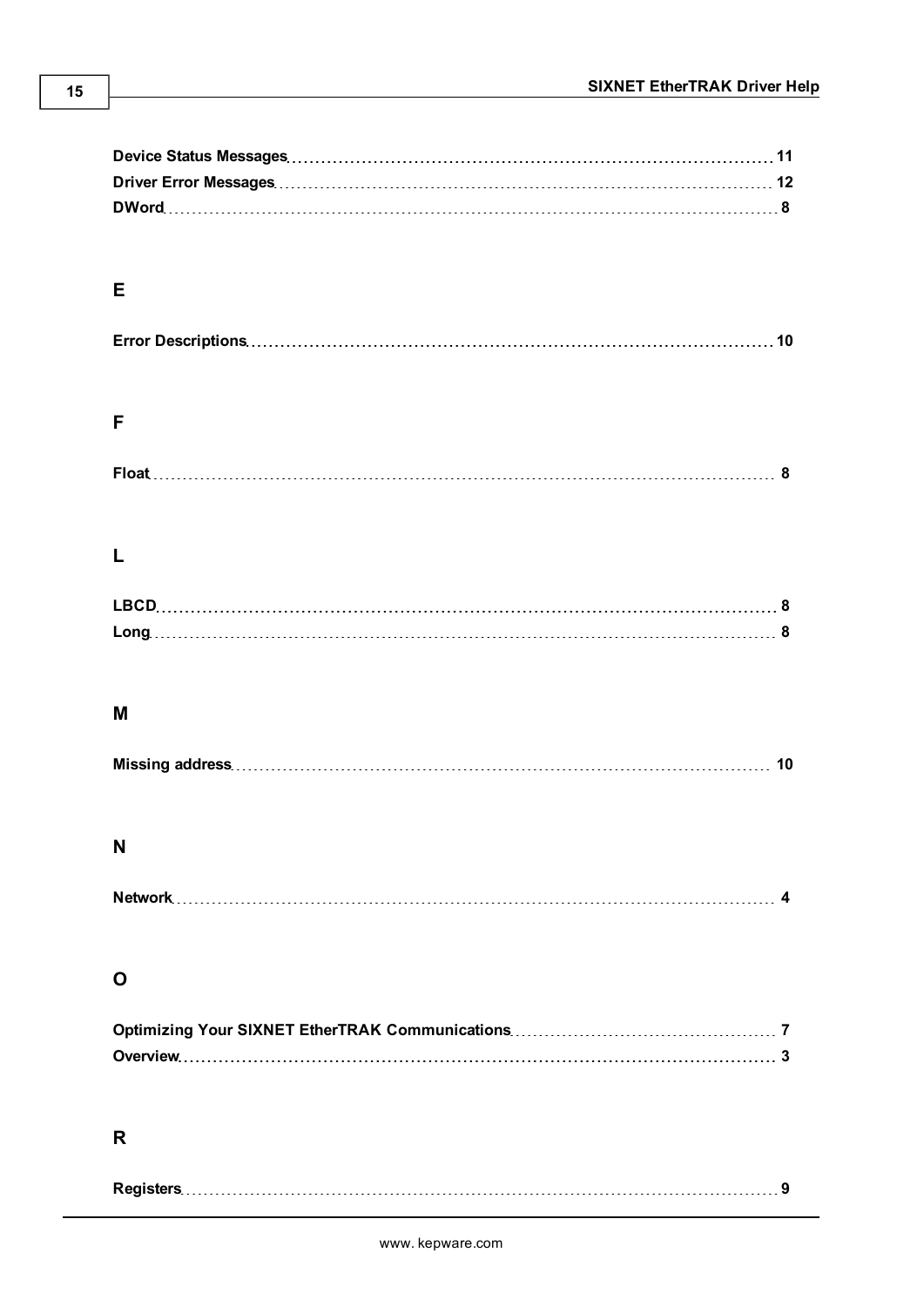| Е |  |    |
|---|--|----|
|   |  |    |
|   |  |    |
|   |  |    |
|   |  |    |
| F |  |    |
|   |  |    |
|   |  |    |
|   |  |    |
|   |  |    |
|   |  |    |
|   |  |    |
|   |  |    |
|   |  |    |
|   |  |    |
|   |  |    |
|   |  |    |
|   |  |    |
| M |  |    |
|   |  |    |
|   |  | 10 |
|   |  |    |
|   |  |    |
| N |  |    |
|   |  |    |
|   |  |    |
|   |  |    |
|   |  |    |
|   |  |    |
| O |  |    |
|   |  |    |
|   |  |    |
|   |  |    |
|   |  |    |
|   |  |    |
|   |  |    |
| R |  |    |
|   |  |    |
|   |  |    |